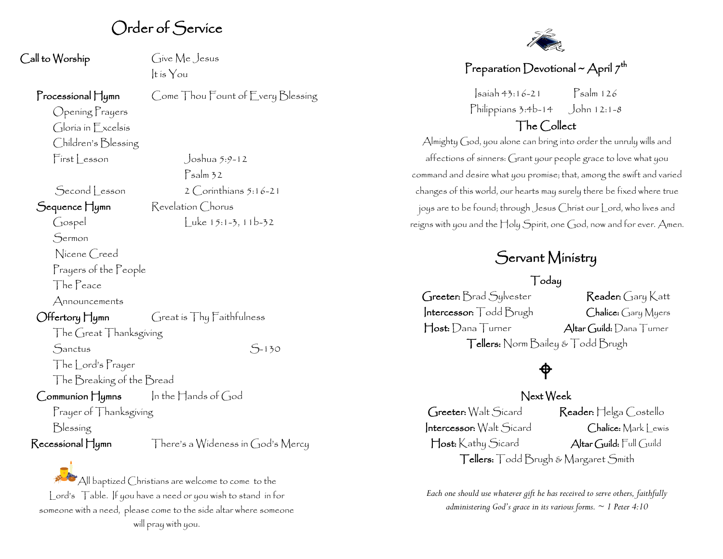# Order of Service

Cive Me Jesus It is You

Psalm 32

#### Processional Hymn Come Thou Fount of Every Blessing

Opening Prayers Gloria in Excelsis Children's Blessing First Lesson Joshua 5:9-12

 $S$ econd esson  $2$  Corinthians  $5:16-21$ 

#### Sequence Hymn Revelation Chorus

Gospel Luke 15:1-3, 11b-32

Sermon

Nicene Creed

Prayers of the People

The Peace

Announcements

#### Offertory Hymn Great is Thy Faithfulness

The Great Thanksgiving

Sanctus S-130

The Lord's Prayer The Breaking of the Bread

Communion Hymns In the Hands of God

Prayer of Thanksgiving

Blessing

Recessional Hymn There's a Wideness in God's Mercy

All baptized Christians are welcome to come to the Lord's Table. If you have a need or you wish to stand in for someone with a need, please come to the side altar where someone will pray with you.



## Preparation Devotional ~ April  $7^{th}$

Isaiah 43:16-21 Psalm 126 Philippians 3:4b-14 John 12:1-8

## The Collect

Almighty God, you alone can bring into order the unruly wills and affections of sinners: Grant your people grace to love what you command and desire what you promise; that, among the swift and varied changes of this world, our hearts may surely there be fixed where true joys are to be found; through Jesus Christ our Lord, who lives and reigns with you and the Holy Spirit, one God, now and for ever. Amen.

# Servant Ministry

### Today

Greeter: Brad Sylvester Reader: Gary Katt Intercessor: Todd Brugh Chalice: Gary Myers Host: Dana Turner Altar Guild: Dana Turner Tellers: Norm Bailey & Todd Brugh

## ₱

#### Next Week

Greeter: Walt Sicard Reader: Helga Costello Intercessor: Walt Sicard Chalice: Mark Lewis Host: Kathy Sicard Altar Guild: Full Guild Tellers: Todd Brugh & Margaret Smith

*Each one should use whatever gift he has received to serve others, faithfully administering God's grace in its various forms. ~ 1 Peter 4:10*